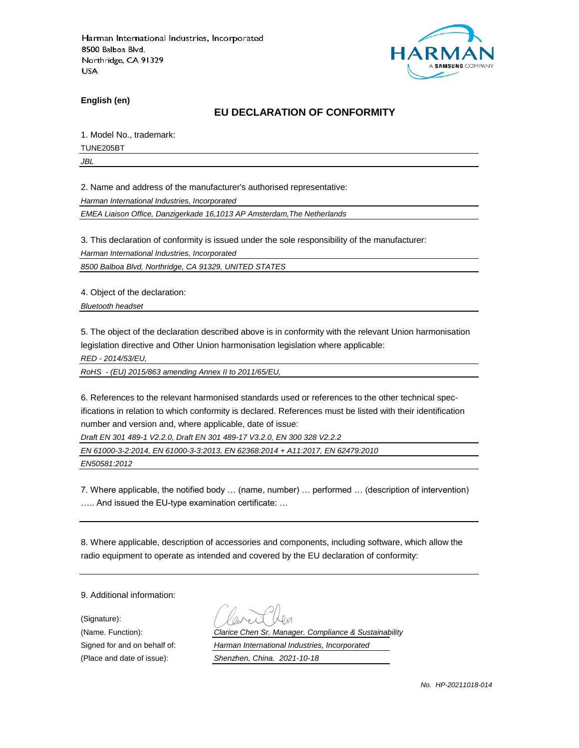

**English (en)**

#### **EU DECLARATION OF CONFORMITY**

1. Model No., trademark:

TUNE205BT

*JBL*

2. Name and address of the manufacturer's authorised representative:

*Harman International Industries, Incorporated*

*EMEA Liaison Office, Danzigerkade 16,1013 AP Amsterdam,The Netherlands*

3. This declaration of conformity is issued under the sole responsibility of the manufacturer:

*Harman International Industries, Incorporated*

*8500 Balboa Blvd, Northridge, CA 91329, UNITED STATES*

4. Object of the declaration:

*Bluetooth headset*

5. The object of the declaration described above is in conformity with the relevant Union harmonisation legislation directive and Other Union harmonisation legislation where applicable:

*RED - 2014/53/EU,*

*RoHS - (EU) 2015/863 amending Annex II to 2011/65/EU,*

6. References to the relevant harmonised standards used or references to the other technical specifications in relation to which conformity is declared. References must be listed with their identification number and version and, where applicable, date of issue:

*Draft EN 301 489-1 V2.2.0, Draft EN 301 489-17 V3.2.0, EN 300 328 V2.2.2*

*EN 61000-3-2:2014, EN 61000-3-3:2013, EN 62368:2014 + A11:2017, EN 62479:2010*

*EN50581:2012*

7. Where applicable, the notified body … (name, number) … performed … (description of intervention) ….. And issued the EU-type examination certificate: …

8. Where applicable, description of accessories and components, including software, which allow the radio equipment to operate as intended and covered by the EU declaration of conformity:

9. Additional information:

(Signature):

(Name. Function): *Clarice Chen Sr. Manager. Compliance & Sustainability* Signed for and on behalf of: *Harman International Industries, Incorporated*

(Place and date of issue): *Shenzhen, China. 2021-10-18*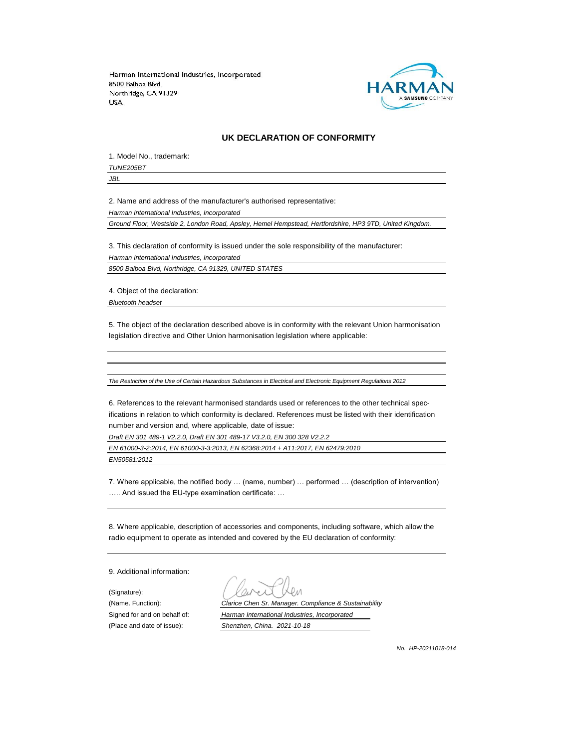

#### **UK DECLARATION OF CONFORMITY**

1. Model No., trademark: *TUNE205BT*

*JBL*

2. Name and address of the manufacturer's authorised representative:

*Harman International Industries, Incorporated*

*Ground Floor, Westside 2, London Road, Apsley, Hemel Hempstead, Hertfordshire, HP3 9TD, United Kingdom.*

3. This declaration of conformity is issued under the sole responsibility of the manufacturer: *Harman International Industries, Incorporated*

*8500 Balboa Blvd, Northridge, CA 91329, UNITED STATES*

4. Object of the declaration:

*Bluetooth headset*

5. The object of the declaration described above is in conformity with the relevant Union harmonisation legislation directive and Other Union harmonisation legislation where applicable:

*The Restriction of the Use of Certain Hazardous Substances in Electrical and Electronic Equipment Regulations 2012*

6. References to the relevant harmonised standards used or references to the other technical specifications in relation to which conformity is declared. References must be listed with their identification number and version and, where applicable, date of issue:

*Draft EN 301 489-1 V2.2.0, Draft EN 301 489-17 V3.2.0, EN 300 328 V2.2.2*

*EN 61000-3-2:2014, EN 61000-3-3:2013, EN 62368:2014 + A11:2017, EN 62479:2010*

*EN50581:2012*

7. Where applicable, the notified body … (name, number) … performed … (description of intervention) ….. And issued the EU-type examination certificate: …

8. Where applicable, description of accessories and components, including software, which allow the radio equipment to operate as intended and covered by the EU declaration of conformity:

9. Additional information:

(Signature):

(Name. Function): *Clarice Chen Sr. Manager. Compliance & Sustainability* Signed for and on behalf of: *Harman International Industries, Incorporated* (Place and date of issue): *Shenzhen, China. 2021-10-18*

*No. HP-20211018-014*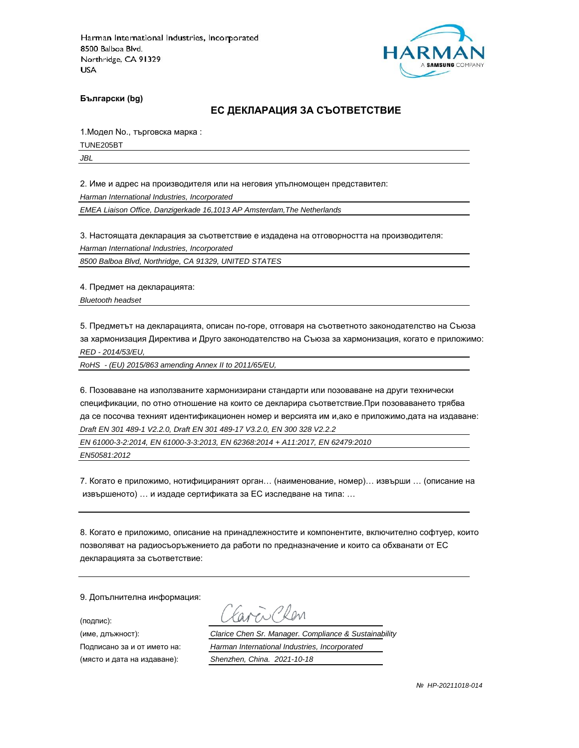

**Български (bg)**

#### **ЕС ДЕКЛАРАЦИЯ ЗА СЪОТВЕТСТВИЕ**

1.Модел No., търговска марка :

TUNE205BT

*JBL*

2. Име и адрес на производителя или на неговия упълномощен представител:

*Harman International Industries, Incorporated*

*EMEA Liaison Office, Danzigerkade 16,1013 AP Amsterdam,The Netherlands*

3. Настоящата декларация за съответствие е издадена на отговорността на производителя:

*Harman International Industries, Incorporated*

*8500 Balboa Blvd, Northridge, CA 91329, UNITED STATES*

4. Предмет на декларацията:

*Bluetooth headset*

5. Предметът на декларацията, описан по-горе, отговаря на съответното законодателство на Съюза за хармонизация Директива и Друго законодателство на Съюза за хармонизация, когато е приложимо: *RED - 2014/53/EU,*

*RoHS - (EU) 2015/863 amending Annex II to 2011/65/EU,*

6. Позоваване на използваните хармонизирани стандарти или позоваване на други технически спецификации, по отно отношение на които се декларира съответствие.При позоваването трябва да се посочва техният идентификационен номер и версията им и,ако е приложимо,дата на издаване: *Draft EN 301 489-1 V2.2.0, Draft EN 301 489-17 V3.2.0, EN 300 328 V2.2.2*

*EN 61000-3-2:2014, EN 61000-3-3:2013, EN 62368:2014 + A11:2017, EN 62479:2010*

*EN50581:2012*

7. Когато е приложимо, нотифицираният орган… (наименование, номер)… извърши … (описание на извършеното) … и издаде сертификата за ЕС изследване на типа: …

8. Когато е приложимо, описание на принадлежностите и компонентите, включително софтуер, които позволяват на радиосъоръжението да работи по предназначение и които са обхванати от ЕС декларацията за съответствие:

9. Допълнителна информация:

(подпис):

(място и дата на издаване): *Shenzhen, China. 2021-10-18*

aren Chen

(име, длъжност): *Clarice Chen Sr. Manager. Compliance & Sustainability*

Подписано за и от името на: *Harman International Industries, Incorporated*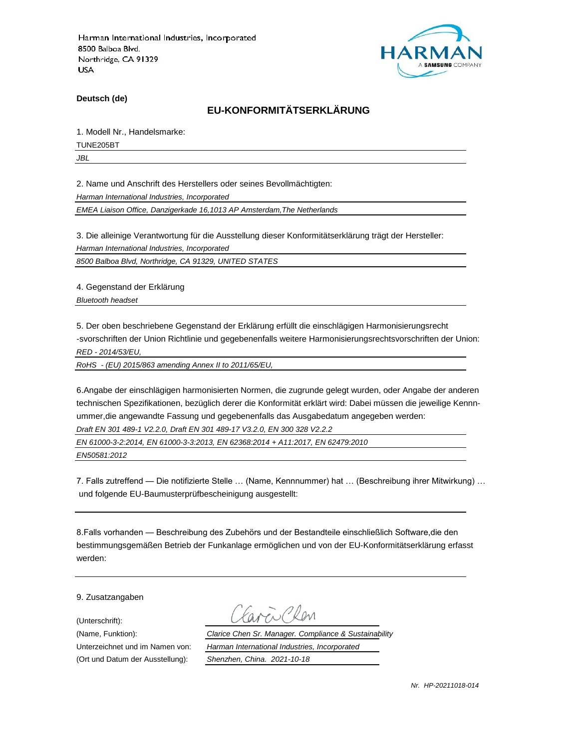

**Deutsch (de)**

# **EU-KONFORMITÄTSERKLÄRUNG**

1. Modell Nr., Handelsmarke:

TUNE205BT

*JBL*

2. Name und Anschrift des Herstellers oder seines Bevollmächtigten:

*Harman International Industries, Incorporated*

*EMEA Liaison Office, Danzigerkade 16,1013 AP Amsterdam,The Netherlands*

3. Die alleinige Verantwortung für die Ausstellung dieser Konformitätserklärung trägt der Hersteller:

*Harman International Industries, Incorporated*

*8500 Balboa Blvd, Northridge, CA 91329, UNITED STATES*

4. Gegenstand der Erklärung

*Bluetooth headset*

5. Der oben beschriebene Gegenstand der Erklärung erfüllt die einschlägigen Harmonisierungsrecht -svorschriften der Union Richtlinie und gegebenenfalls weitere Harmonisierungsrechtsvorschriften der Union: *RED - 2014/53/EU,*

*RoHS - (EU) 2015/863 amending Annex II to 2011/65/EU,*

6.Angabe der einschlägigen harmonisierten Normen, die zugrunde gelegt wurden, oder Angabe der anderen technischen Spezifikationen, bezüglich derer die Konformität erklärt wird: Dabei müssen die jeweilige Kennnummer,die angewandte Fassung und gegebenenfalls das Ausgabedatum angegeben werden: *Draft EN 301 489-1 V2.2.0, Draft EN 301 489-17 V3.2.0, EN 300 328 V2.2.2*

*EN 61000-3-2:2014, EN 61000-3-3:2013, EN 62368:2014 + A11:2017, EN 62479:2010*

*EN50581:2012*

7. Falls zutreffend — Die notifizierte Stelle … (Name, Kennnummer) hat … (Beschreibung ihrer Mitwirkung) … und folgende EU-Baumusterprüfbescheinigung ausgestellt:

8.Falls vorhanden — Beschreibung des Zubehörs und der Bestandteile einschließlich Software,die den bestimmungsgemäßen Betrieb der Funkanlage ermöglichen und von der EU-Konformitätserklärung erfasst werden:

9. Zusatzangaben

(Unterschrift):

(Name, Funktion): *Clarice Chen Sr. Manager. Compliance & Sustainability* Unterzeichnet und im Namen von: *Harman International Industries, Incorporated* (Ort und Datum der Ausstellung): *Shenzhen, China. 2021-10-18*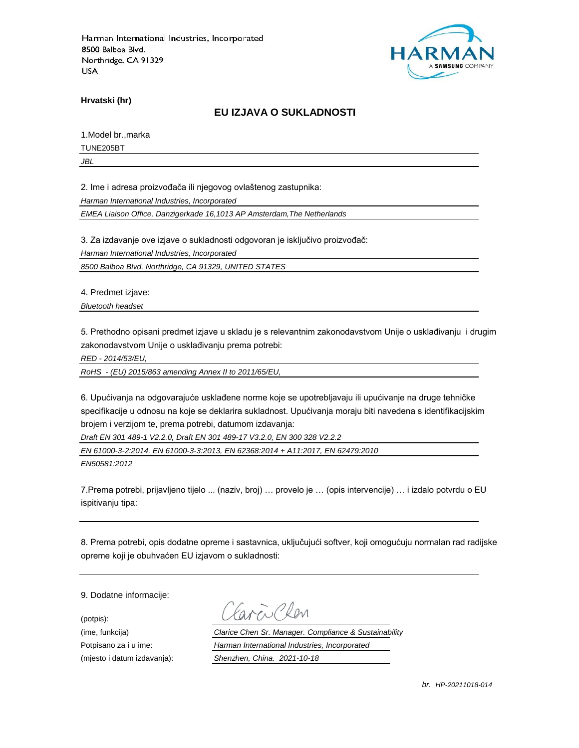

**Hrvatski (hr)**

### **EU IZJAVA O SUKLADNOSTI**

1.Model br.,marka

TUNE205BT

*JBL*

2. Ime i adresa proizvođača ili njegovog ovlaštenog zastupnika:

*Harman International Industries, Incorporated*

*EMEA Liaison Office, Danzigerkade 16,1013 AP Amsterdam,The Netherlands*

3. Za izdavanje ove izjave o sukladnosti odgovoran je isključivo proizvođač:

*Harman International Industries, Incorporated*

*8500 Balboa Blvd, Northridge, CA 91329, UNITED STATES*

4. Predmet izjave:

*Bluetooth headset*

5. Prethodno opisani predmet izjave u skladu je s relevantnim zakonodavstvom Unije o usklađivanju i drugim zakonodavstvom Unije o usklađivanju prema potrebi:

*RED - 2014/53/EU,*

*RoHS - (EU) 2015/863 amending Annex II to 2011/65/EU,*

6. Upućivanja na odgovarajuće usklađene norme koje se upotrebljavaju ili upućivanje na druge tehničke specifikacije u odnosu na koje se deklarira sukladnost. Upućivanja moraju biti navedena s identifikacijskim brojem i verzijom te, prema potrebi, datumom izdavanja:

*Draft EN 301 489-1 V2.2.0, Draft EN 301 489-17 V3.2.0, EN 300 328 V2.2.2*

*EN 61000-3-2:2014, EN 61000-3-3:2013, EN 62368:2014 + A11:2017, EN 62479:2010*

*EN50581:2012*

7.Prema potrebi, prijavljeno tijelo ... (naziv, broj) … provelo je … (opis intervencije) … i izdalo potvrdu o EU ispitivanju tipa:

8. Prema potrebi, opis dodatne opreme i sastavnica, uključujući softver, koji omogućuju normalan rad radijske opreme koji je obuhvaćen EU izjavom o sukladnosti:

9. Dodatne informacije:

(potpis):

(ime, funkcija) *Clarice Chen Sr. Manager. Compliance & Sustainability* Potpisano za i u ime: *Harman International Industries, Incorporated* (mjesto i datum izdavanja): *Shenzhen, China. 2021-10-18*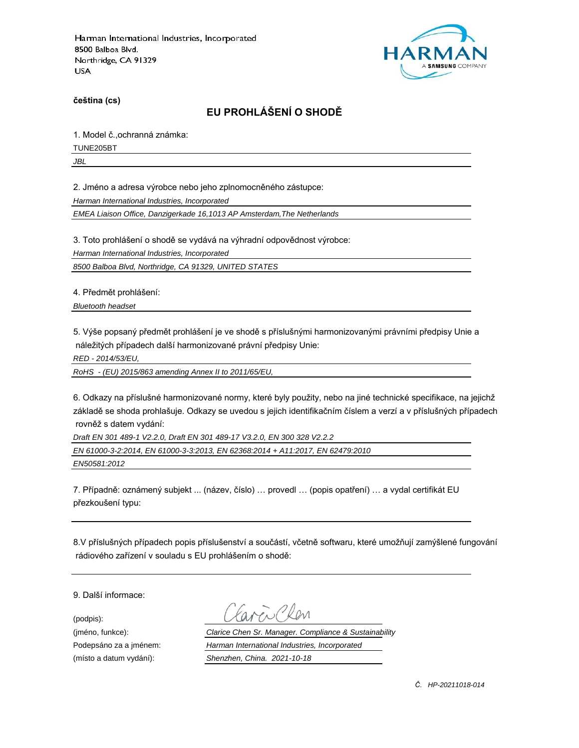

**čeština (cs)**

# **EU PROHLÁŠENÍ O SHODĚ**

1. Model č.,ochranná známka:

TUNE205BT

*JBL*

2. Jméno a adresa výrobce nebo jeho zplnomocněného zástupce:

*Harman International Industries, Incorporated*

*EMEA Liaison Office, Danzigerkade 16,1013 AP Amsterdam,The Netherlands*

3. Toto prohlášení o shodě se vydává na výhradní odpovědnost výrobce:

*Harman International Industries, Incorporated*

*8500 Balboa Blvd, Northridge, CA 91329, UNITED STATES*

4. Předmět prohlášení:

*Bluetooth headset*

5. Výše popsaný předmět prohlášení je ve shodě s příslušnými harmonizovanými právními předpisy Unie a náležitých případech další harmonizované právní předpisy Unie:

*RED - 2014/53/EU,*

*RoHS - (EU) 2015/863 amending Annex II to 2011/65/EU,*

6. Odkazy na příslušné harmonizované normy, které byly použity, nebo na jiné technické specifikace, na jejichž základě se shoda prohlašuje. Odkazy se uvedou s jejich identifikačním číslem a verzí a v příslušných případech rovněž s datem vydání:

*Draft EN 301 489-1 V2.2.0, Draft EN 301 489-17 V3.2.0, EN 300 328 V2.2.2*

*EN 61000-3-2:2014, EN 61000-3-3:2013, EN 62368:2014 + A11:2017, EN 62479:2010*

*EN50581:2012*

7. Případně: oznámený subjekt ... (název, číslo) … provedl … (popis opatření) … a vydal certifikát EU přezkoušení typu:

8.V příslušných případech popis příslušenství a součástí, včetně softwaru, které umožňují zamýšlené fungování rádiového zařízení v souladu s EU prohlášením o shodě:

9. Další informace:

(podpis):

(jméno, funkce): *Clarice Chen Sr. Manager. Compliance & Sustainability* Podepsáno za a jménem: *Harman International Industries, Incorporated* (místo a datum vydání): *Shenzhen, China. 2021-10-18*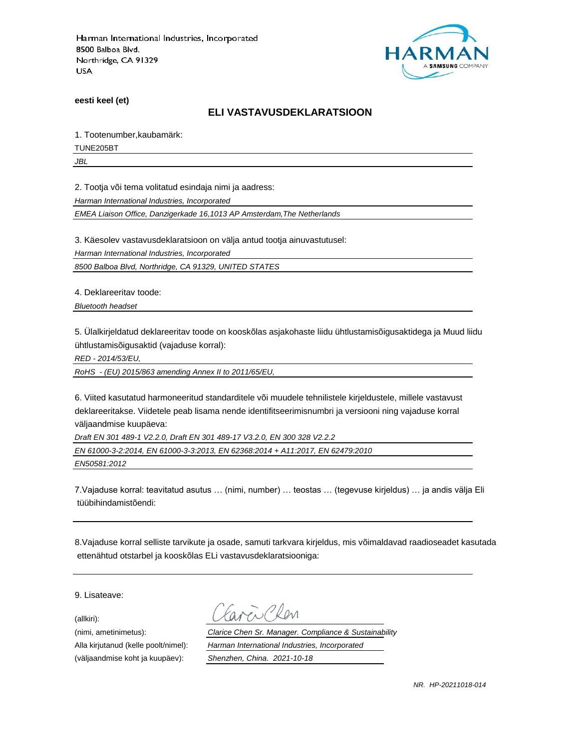

**eesti keel (et)**

#### **ELI VASTAVUSDEKLARATSIOON**

1. Tootenumber,kaubamärk:

TUNE205BT

*JBL*

2. Tootja või tema volitatud esindaja nimi ja aadress:

*Harman International Industries, Incorporated*

*EMEA Liaison Office, Danzigerkade 16,1013 AP Amsterdam,The Netherlands*

3. Käesolev vastavusdeklaratsioon on välja antud tootja ainuvastutusel:

*Harman International Industries, Incorporated*

*8500 Balboa Blvd, Northridge, CA 91329, UNITED STATES*

4. Deklareeritav toode:

*Bluetooth headset*

5. Ülalkirjeldatud deklareeritav toode on kooskõlas asjakohaste liidu ühtlustamisõigusaktidega ja Muud liidu ühtlustamisõigusaktid (vajaduse korral):

*RED - 2014/53/EU,*

*RoHS - (EU) 2015/863 amending Annex II to 2011/65/EU,*

6. Viited kasutatud harmoneeritud standarditele või muudele tehnilistele kirjeldustele, millele vastavust deklareeritakse. Viidetele peab lisama nende identifitseerimisnumbri ja versiooni ning vajaduse korral väljaandmise kuupäeva:

*Draft EN 301 489-1 V2.2.0, Draft EN 301 489-17 V3.2.0, EN 300 328 V2.2.2*

*EN 61000-3-2:2014, EN 61000-3-3:2013, EN 62368:2014 + A11:2017, EN 62479:2010*

*EN50581:2012*

7.Vajaduse korral: teavitatud asutus … (nimi, number) … teostas … (tegevuse kirjeldus) … ja andis välja Eli tüübihindamistõendi:

8.Vajaduse korral selliste tarvikute ja osade, samuti tarkvara kirjeldus, mis võimaldavad raadioseadet kasutada ettenähtud otstarbel ja kooskõlas ELi vastavusdeklaratsiooniga:

9. Lisateave:

(allkiri):

(nimi, ametinimetus): *Clarice Chen Sr. Manager. Compliance & Sustainability* Alla kirjutanud (kelle poolt/nimel): *Harman International Industries, Incorporated* (väljaandmise koht ja kuupäev): *Shenzhen, China. 2021-10-18*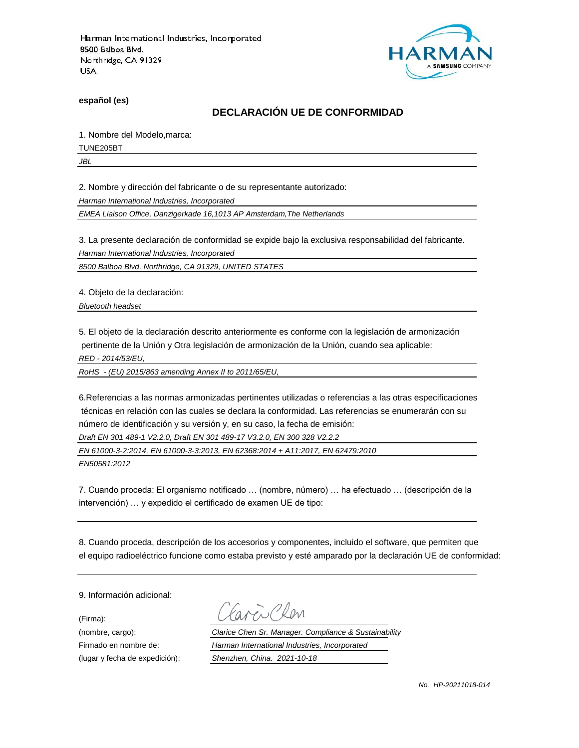

**español (es)**

## **DECLARACIÓN UE DE CONFORMIDAD**

1. Nombre del Modelo,marca:

TUNE205BT

*JBL*

2. Nombre y dirección del fabricante o de su representante autorizado:

*Harman International Industries, Incorporated*

*EMEA Liaison Office, Danzigerkade 16,1013 AP Amsterdam,The Netherlands*

3. La presente declaración de conformidad se expide bajo la exclusiva responsabilidad del fabricante.

*Harman International Industries, Incorporated*

*8500 Balboa Blvd, Northridge, CA 91329, UNITED STATES*

4. Objeto de la declaración:

*Bluetooth headset*

5. El objeto de la declaración descrito anteriormente es conforme con la legislación de armonización pertinente de la Unión y Otra legislación de armonización de la Unión, cuando sea aplicable:

*RED - 2014/53/EU,*

*RoHS - (EU) 2015/863 amending Annex II to 2011/65/EU,*

6.Referencias a las normas armonizadas pertinentes utilizadas o referencias a las otras especificaciones técnicas en relación con las cuales se declara la conformidad. Las referencias se enumerarán con su número de identificación y su versión y, en su caso, la fecha de emisión:

*Draft EN 301 489-1 V2.2.0, Draft EN 301 489-17 V3.2.0, EN 300 328 V2.2.2*

*EN 61000-3-2:2014, EN 61000-3-3:2013, EN 62368:2014 + A11:2017, EN 62479:2010*

*EN50581:2012*

7. Cuando proceda: El organismo notificado … (nombre, número) … ha efectuado … (descripción de la intervención) … y expedido el certificado de examen UE de tipo:

8. Cuando proceda, descripción de los accesorios y componentes, incluido el software, que permiten que el equipo radioeléctrico funcione como estaba previsto y esté amparado por la declaración UE de conformidad:

9. Información adicional:

(Firma):

Plen

(nombre, cargo): *Clarice Chen Sr. Manager. Compliance & Sustainability* Firmado en nombre de: *Harman International Industries, Incorporated* (lugar y fecha de expedición): *Shenzhen, China. 2021-10-18*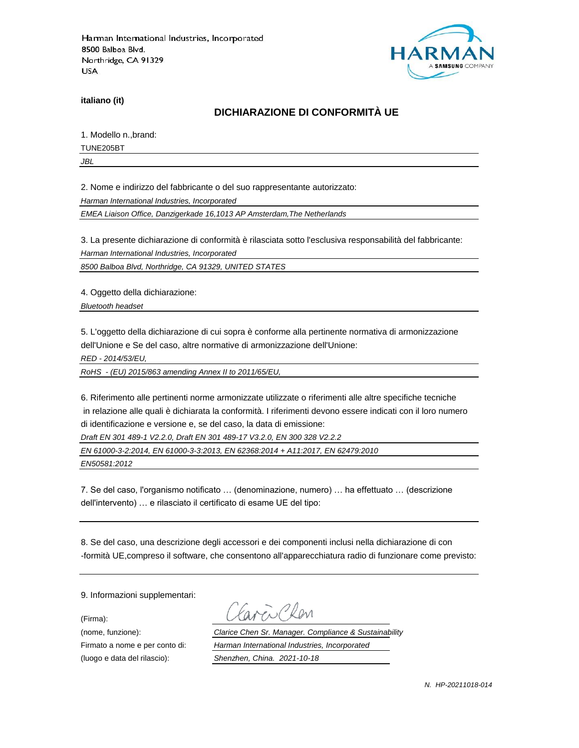

**italiano (it)**

# **DICHIARAZIONE DI CONFORMITÀ UE**

1. Modello n.,brand:

TUNE205BT

*JBL*

2. Nome e indirizzo del fabbricante o del suo rappresentante autorizzato:

*Harman International Industries, Incorporated*

*EMEA Liaison Office, Danzigerkade 16,1013 AP Amsterdam,The Netherlands*

3. La presente dichiarazione di conformità è rilasciata sotto l'esclusiva responsabilità del fabbricante:

*Harman International Industries, Incorporated*

*8500 Balboa Blvd, Northridge, CA 91329, UNITED STATES*

4. Oggetto della dichiarazione:

*Bluetooth headset*

5. L'oggetto della dichiarazione di cui sopra è conforme alla pertinente normativa di armonizzazione dell'Unione e Se del caso, altre normative di armonizzazione dell'Unione:

*RED - 2014/53/EU,*

*RoHS - (EU) 2015/863 amending Annex II to 2011/65/EU,*

6. Riferimento alle pertinenti norme armonizzate utilizzate o riferimenti alle altre specifiche tecniche in relazione alle quali è dichiarata la conformità. I riferimenti devono essere indicati con il loro numero di identificazione e versione e, se del caso, la data di emissione:

*Draft EN 301 489-1 V2.2.0, Draft EN 301 489-17 V3.2.0, EN 300 328 V2.2.2*

*EN 61000-3-2:2014, EN 61000-3-3:2013, EN 62368:2014 + A11:2017, EN 62479:2010*

*EN50581:2012*

7. Se del caso, l'organismo notificato … (denominazione, numero) … ha effettuato … (descrizione dell'intervento) … e rilasciato il certificato di esame UE del tipo:

8. Se del caso, una descrizione degli accessori e dei componenti inclusi nella dichiarazione di con -formità UE,compreso il software, che consentono all'apparecchiatura radio di funzionare come previsto:

9. Informazioni supplementari:

(Firma):

(luogo e data del rilascio): *Shenzhen, China. 2021-10-18*

i Plan

(nome, funzione): *Clarice Chen Sr. Manager. Compliance & Sustainability* Firmato a nome e per conto di: *Harman International Industries, Incorporated*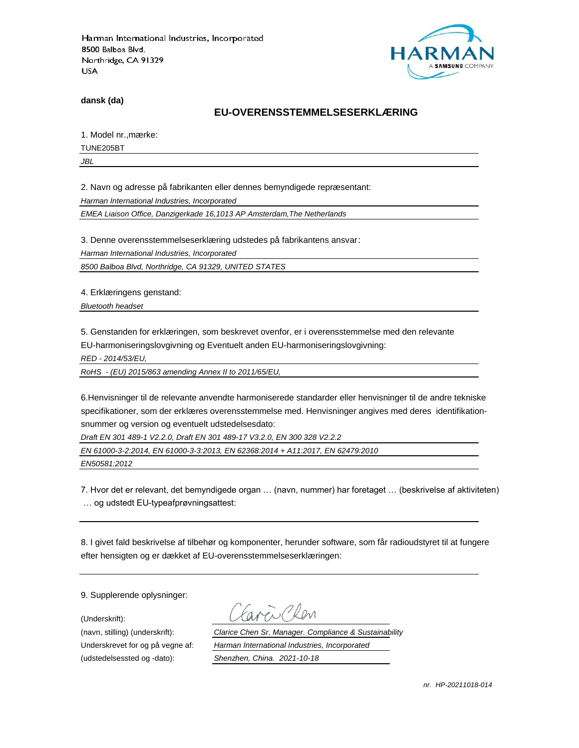

**dansk (da)**

#### **EU-OVERENSSTEMMELSESERKLÆ RING**

1. Model nr., mærke:

TUNE205BT

*JBL*

2. Navn og adresse på fabrikanten eller dennes bemyndigede repræ sentant:

*Harman International Industries, Incorporated*

*EMEA Liaison Office, Danzigerkade 16,1013 AP Amsterdam,The Netherlands*

3. Denne overensstemmelseserklæring udstedes på fabrikantens ansvar:

*Harman International Industries, Incorporated*

*8500 Balboa Blvd, Northridge, CA 91329, UNITED STATES*

4. Erklæringens genstand:

*Bluetooth headset*

5. Genstanden for erklæringen, som beskrevet ovenfor, er i overensstemmelse med den relevante EU-harmoniseringslovgivning og Eventuelt anden EU-harmoniseringslovgivning:

*RED - 2014/53/EU,*

*RoHS - (EU) 2015/863 amending Annex II to 2011/65/EU,*

6.Henvisninger til de relevante anvendte harmoniserede standarder eller henvisninger til de andre tekniske specifikationer, som der erklæres overensstemmelse med. Henvisninger angives med deres identifikationsnummer og version og eventuelt udstedelsesdato:

*Draft EN 301 489-1 V2.2.0, Draft EN 301 489-17 V3.2.0, EN 300 328 V2.2.2*

*EN 61000-3-2:2014, EN 61000-3-3:2013, EN 62368:2014 + A11:2017, EN 62479:2010*

*EN50581:2012*

7. Hvor det er relevant, det bemyndigede organ … (navn, nummer) har foretaget … (beskrivelse af aktiviteten) … og udstedt EU-typeafprøvningsattest:

8. I givet fald beskrivelse af tilbehør og komponenter, herunder software, som får radioudstyret til at fungere efter hensigten og er dækket af EU-overensstemmelseserklæringen:

9. Supplerende oplysninger:

(Underskrift):

(udstedelsessted og -dato): *Shenzhen, China. 2021-10-18*

(navn, stilling) (underskrift): *Clarice Chen Sr. Manager. Compliance & Sustainability* Underskrevet for og på vegne af: *Harman International Industries, Incorporated*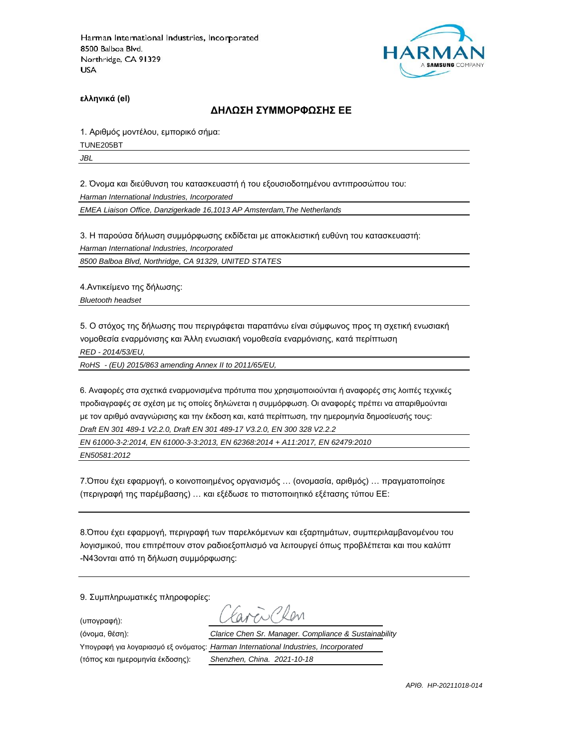

**ελληνικά (el)**

#### **ΔΗΛΩΣΗ ΣΥΜΜΟΡΦΩΣΗΣ ΕΕ**

1. Αριθμός μοντέλου, εμπορικό σήμα:

TUNE205BT

*JBL*

2. Όνομα και διεύθυνση του κατασκευαστή ή του εξουσιοδοτημένου αντιπροσώπου του:

*Harman International Industries, Incorporated*

*EMEA Liaison Office, Danzigerkade 16,1013 AP Amsterdam,The Netherlands*

3. Η παρούσα δήλωση συμμόρφωσης εκδίδεται με αποκλειστική ευθύνη του κατασκευαστή:

*Harman International Industries, Incorporated*

*8500 Balboa Blvd, Northridge, CA 91329, UNITED STATES*

4.Αντικείμενο της δήλωσης:

*Bluetooth headset*

5. Ο στόχος της δήλωσης που περιγράφεται παραπάνω είναι σύμφωνος προς τη σχετική ενωσιακή νομοθεσία εναρμόνισης και Άλλη ενωσιακή νομοθεσία εναρμόνισης, κατά περίπτωση

*RED - 2014/53/EU,*

*RoHS - (EU) 2015/863 amending Annex II to 2011/65/EU,*

6. Αναφορές στα σχετικά εναρμονισμένα πρότυπα που χρησιμοποιούνται ή αναφορές στις λοιπές τεχνικές προδιαγραφές σε σχέση με τις οποίες δηλώνεται η συμμόρφωση. Οι αναφορές πρέπει να απαριθμούνται με τον αριθμό αναγνώρισης και την έκδοση και, κατά περίπτωση, την ημερομηνία δημοσίευσής τους: *Draft EN 301 489-1 V2.2.0, Draft EN 301 489-17 V3.2.0, EN 300 328 V2.2.2*

*EN 61000-3-2:2014, EN 61000-3-3:2013, EN 62368:2014 + A11:2017, EN 62479:2010*

*EN50581:2012*

7.Όπου έχει εφαρμογή, ο κοινοποιημένος οργανισμός … (ονομασία, αριθμός) … πραγματοποίησε (περιγραφή της παρέμβασης) … και εξέδωσε το πιστοποιητικό εξέτασης τύπου ΕΕ:

8.Όπου έχει εφαρμογή, περιγραφή των παρελκόμενων και εξαρτημάτων, συμπεριλαμβανομένου του λογισμικού, που επιτρέπουν στον ραδιοεξοπλισμό να λειτουργεί όπως προβλέπεται και που καλύπτ -N43ονται από τη δήλωση συμμόρφωσης:

9. Συμπληρωματικές πληροφορίες:

(υπογραφή):

(τόπος και ημερομηνία έκδοσης): *Shenzhen, China. 2021-10-18*

 $R_{\text{N}}$ (όνομα, θέση): *Clarice Chen Sr. Manager. Compliance & Sustainability* Υπογραφή για λογαριασμό εξ ονόματος: *Harman International Industries, Incorporated*

*ΑΡΙΘ. HP-20211018-014*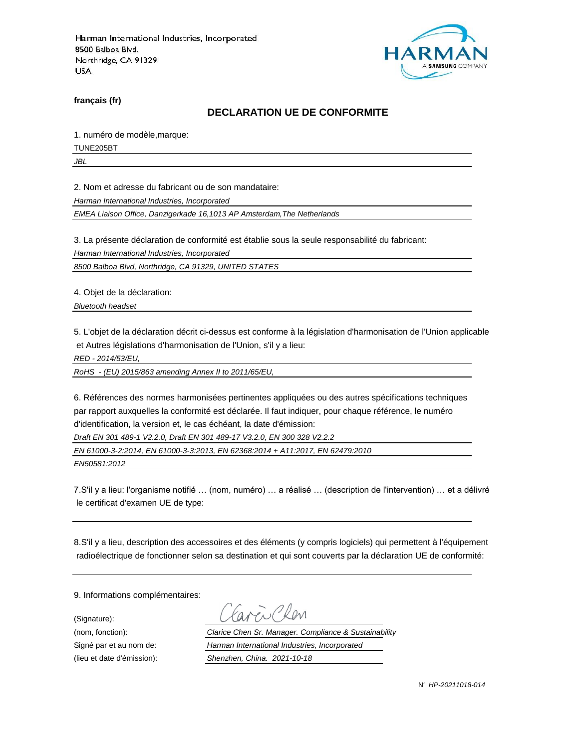

**français (fr)**

#### **DECLARATION UE DE CONFORMITE**

1. numéro de modèle,marque:

TUNE205BT

*JBL*

2. Nom et adresse du fabricant ou de son mandataire:

*Harman International Industries, Incorporated*

*EMEA Liaison Office, Danzigerkade 16,1013 AP Amsterdam,The Netherlands*

3. La présente déclaration de conformité est établie sous la seule responsabilité du fabricant:

*Harman International Industries, Incorporated*

*8500 Balboa Blvd, Northridge, CA 91329, UNITED STATES*

4. Objet de la déclaration:

*Bluetooth headset*

5. L'objet de la déclaration décrit ci-dessus est conforme à la législation d'harmonisation de l'Union applicable et Autres législations d'harmonisation de l'Union, s'il y a lieu:

*RED - 2014/53/EU,*

*RoHS - (EU) 2015/863 amending Annex II to 2011/65/EU,*

6. Références des normes harmonisées pertinentes appliquées ou des autres spécifications techniques par rapport auxquelles la conformité est déclarée. Il faut indiquer, pour chaque référence, le numéro d'identification, la version et, le cas échéant, la date d'émission:

*Draft EN 301 489-1 V2.2.0, Draft EN 301 489-17 V3.2.0, EN 300 328 V2.2.2*

*EN 61000-3-2:2014, EN 61000-3-3:2013, EN 62368:2014 + A11:2017, EN 62479:2010*

*EN50581:2012*

7.S'il y a lieu: l'organisme notifié … (nom, numéro) … a réalisé … (description de l'intervention) … et a délivré le certificat d'examen UE de type:

8.S'il y a lieu, description des accessoires et des éléments (y compris logiciels) qui permettent à l'équipement radioélectrique de fonctionner selon sa destination et qui sont couverts par la déclaration UE de conformité:

9. Informations complémentaires:

(Signature):

(nom, fonction): *Clarice Chen Sr. Manager. Compliance & Sustainability* Signé par et au nom de: *Harman International Industries, Incorporated* (lieu et date d'émission): *Shenzhen, China. 2021-10-18*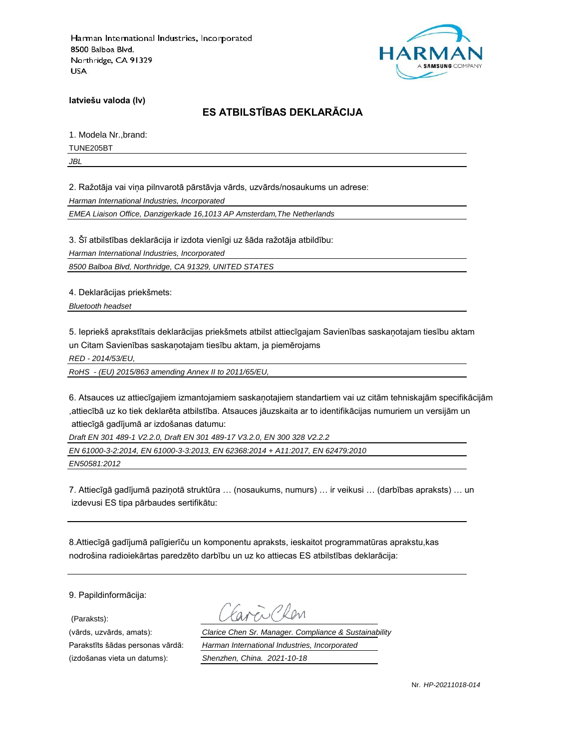

**latviešu valoda (lv)**

# **ES ATBILSTĪBAS DEKLARĀCIJA**

1. Modela Nr.,brand:

TUNE205BT

*JBL*

2. Ražotāja vai viņa pilnvarotā pārstāvja vārds, uzvārds/nosaukums un adrese:

*Harman International Industries, Incorporated*

*EMEA Liaison Office, Danzigerkade 16,1013 AP Amsterdam,The Netherlands*

3. Šī atbilstības deklarācija ir izdota vienīgi uz šāda ražotāja atbildību:

*Harman International Industries, Incorporated*

*8500 Balboa Blvd, Northridge, CA 91329, UNITED STATES*

4. Deklarācijas priekšmets:

*Bluetooth headset*

5. Iepriekš aprakstītais deklarācijas priekšmets atbilst attiecīgajam Savienības saskaņotajam tiesību aktam un Citam Savienības saskaņotajam tiesību aktam, ja piemērojams

*RED - 2014/53/EU,*

*RoHS - (EU) 2015/863 amending Annex II to 2011/65/EU,*

6. Atsauces uz attiecīgajiem izmantojamiem saskaņotajiem standartiem vai uz citām tehniskajām specifikācijām ,attiecībā uz ko tiek deklarēta atbilstība. Atsauces jāuzskaita ar to identifikācijas numuriem un versijām un attiecīgā gadījumā ar izdošanas datumu:

*Draft EN 301 489-1 V2.2.0, Draft EN 301 489-17 V3.2.0, EN 300 328 V2.2.2*

*EN 61000-3-2:2014, EN 61000-3-3:2013, EN 62368:2014 + A11:2017, EN 62479:2010*

*EN50581:2012*

7. Attiecīgā gadījumā paziņotā struktūra … (nosaukums, numurs) … ir veikusi … (darbības apraksts) … un izdevusi ES tipa pārbaudes sertifikātu:

8.Attiecīgā gadījumā palīgierīču un komponentu apraksts, ieskaitot programmatūras aprakstu,kas nodrošina radioiekārtas paredzēto darbību un uz ko attiecas ES atbilstības deklarācija:

9. Papildinformācija:

(Paraksts):

(vārds, uzvārds, amats): *Clarice Chen Sr. Manager. Compliance & Sustainability* Parakstīts šādas personas vārdā: *Harman International Industries, Incorporated* (izdošanas vieta un datums): *Shenzhen, China. 2021-10-18*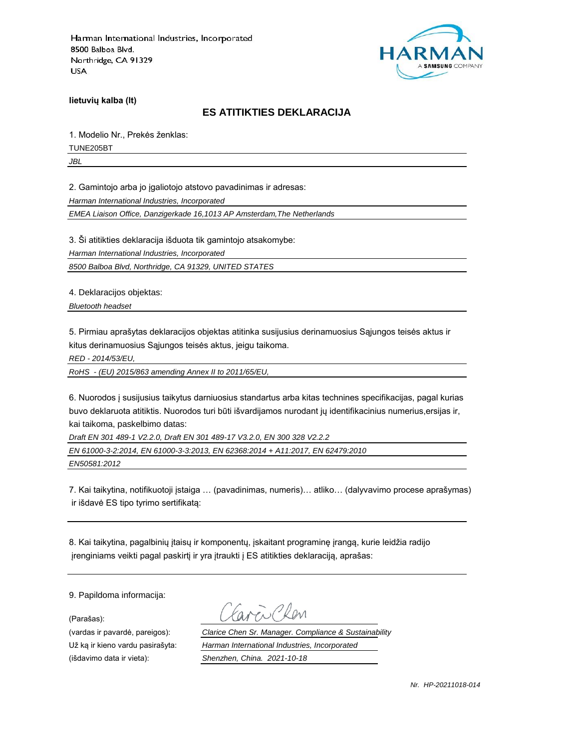

**lietuvių kalba (lt)**

#### **ES ATITIKTIES DEKLARACIJA**

1. Modelio Nr., Prekės ženklas:

TUNE205BT

*JBL*

2. Gamintojo arba jo įgaliotojo atstovo pavadinimas ir adresas:

*Harman International Industries, Incorporated*

*EMEA Liaison Office, Danzigerkade 16,1013 AP Amsterdam,The Netherlands*

3. Ši atitikties deklaracija išduota tik gamintojo atsakomybe:

*Harman International Industries, Incorporated*

*8500 Balboa Blvd, Northridge, CA 91329, UNITED STATES*

4. Deklaracijos objektas:

*Bluetooth headset*

5. Pirmiau aprašytas deklaracijos objektas atitinka susijusius derinamuosius Sąjungos teisės aktus ir kitus derinamuosius Sąjungos teisės aktus, jeigu taikoma.

*RED - 2014/53/EU,*

*RoHS - (EU) 2015/863 amending Annex II to 2011/65/EU,*

6. Nuorodos į susijusius taikytus darniuosius standartus arba kitas technines specifikacijas, pagal kurias buvo deklaruota atitiktis. Nuorodos turi būti išvardijamos nurodant jų identifikacinius numerius,ersijas ir, kai taikoma, paskelbimo datas:

*Draft EN 301 489-1 V2.2.0, Draft EN 301 489-17 V3.2.0, EN 300 328 V2.2.2*

*EN 61000-3-2:2014, EN 61000-3-3:2013, EN 62368:2014 + A11:2017, EN 62479:2010*

*EN50581:2012*

7. Kai taikytina, notifikuotoji įstaiga … (pavadinimas, numeris)… atliko… (dalyvavimo procese aprašymas) ir išdavė ES tipo tyrimo sertifikatą:

8. Kai taikytina, pagalbinių įtaisų ir komponentų, įskaitant programinę įrangą, kurie leidžia radijo įrenginiams veikti pagal paskirtį ir yra įtraukti į ES atitikties deklaraciją, aprašas:

9. Papildoma informacija:

(Parašas):

(vardas ir pavardė, pareigos): *Clarice Chen Sr. Manager. Compliance & Sustainability* Už ką ir kieno vardu pasirašyta: *Harman International Industries, Incorporated* (išdavimo data ir vieta): *Shenzhen, China. 2021-10-18*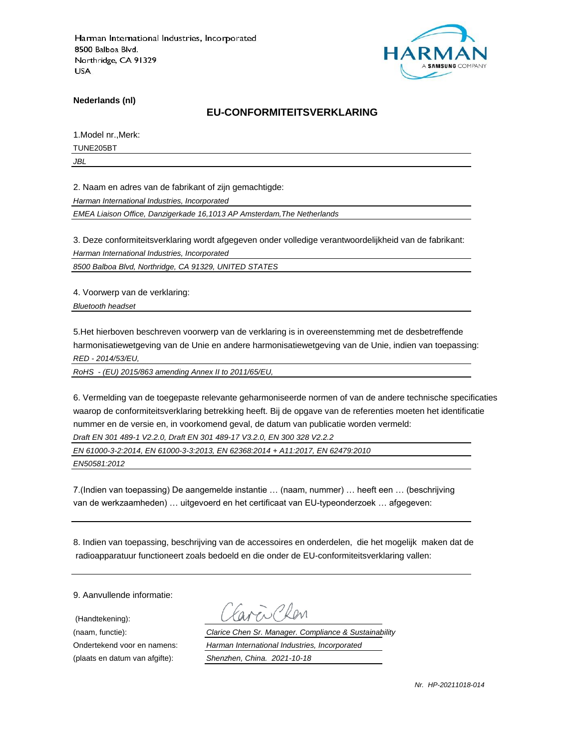

**Nederlands (nl)**

#### **EU-CONFORMITEITSVERKLARING**

1.Model nr.,Merk:

TUNE205BT

*JBL*

2. Naam en adres van de fabrikant of zijn gemachtigde:

*Harman International Industries, Incorporated*

*EMEA Liaison Office, Danzigerkade 16,1013 AP Amsterdam,The Netherlands*

3. Deze conformiteitsverklaring wordt afgegeven onder volledige verantwoordelijkheid van de fabrikant:

*Harman International Industries, Incorporated*

*8500 Balboa Blvd, Northridge, CA 91329, UNITED STATES*

4. Voorwerp van de verklaring:

*Bluetooth headset*

5.Het hierboven beschreven voorwerp van de verklaring is in overeenstemming met de desbetreffende harmonisatiewetgeving van de Unie en andere harmonisatiewetgeving van de Unie, indien van toepassing: *RED - 2014/53/EU,*

*RoHS - (EU) 2015/863 amending Annex II to 2011/65/EU,*

6. Vermelding van de toegepaste relevante geharmoniseerde normen of van de andere technische specificaties waarop de conformiteitsverklaring betrekking heeft. Bij de opgave van de referenties moeten het identificatie nummer en de versie en, in voorkomend geval, de datum van publicatie worden vermeld:

*Draft EN 301 489-1 V2.2.0, Draft EN 301 489-17 V3.2.0, EN 300 328 V2.2.2*

*EN 61000-3-2:2014, EN 61000-3-3:2013, EN 62368:2014 + A11:2017, EN 62479:2010*

*EN50581:2012*

7.(Indien van toepassing) De aangemelde instantie … (naam, nummer) … heeft een … (beschrijving van de werkzaamheden) … uitgevoerd en het certificaat van EU-typeonderzoek … afgegeven:

8. Indien van toepassing, beschrijving van de accessoires en onderdelen, die het mogelijk maken dat de radioapparatuur functioneert zoals bedoeld en die onder de EU-conformiteitsverklaring vallen:

9. Aanvullende informatie:

(Handtekening):

(naam, functie): *Clarice Chen Sr. Manager. Compliance & Sustainability* Ondertekend voor en namens: *Harman International Industries, Incorporated* (plaats en datum van afgifte): *Shenzhen, China. 2021-10-18*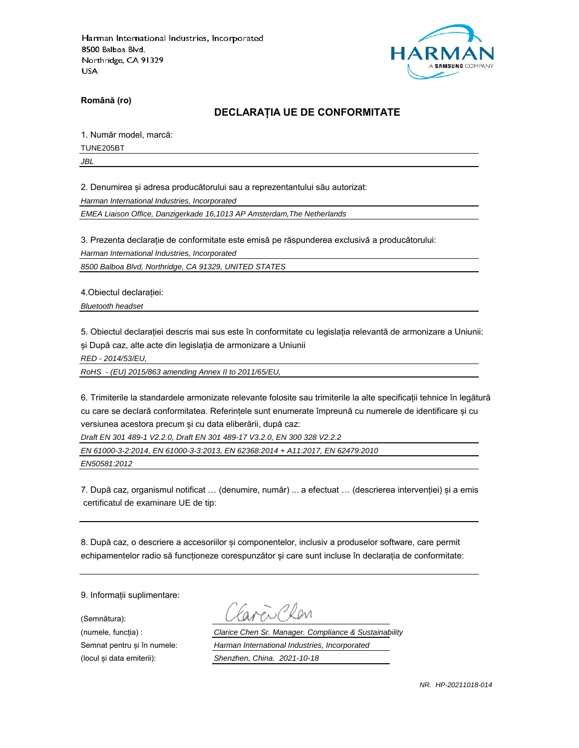

**Română (ro)**

## **DECLARAȚIA UE DE CONFORMITATE**

1. Număr model, marcă:

TUNE205BT

*JBL*

2. Denumirea și adresa producătorului sau a reprezentantului său autorizat:

*Harman International Industries, Incorporated*

*EMEA Liaison Office, Danzigerkade 16,1013 AP Amsterdam,The Netherlands*

3. Prezenta declarație de conformitate este emisă pe răspunderea exclusivă a producătorului:

*Harman International Industries, Incorporated*

*8500 Balboa Blvd, Northridge, CA 91329, UNITED STATES*

4.Obiectul declarației:

*Bluetooth headset*

5. Obiectul declarației descris mai sus este în conformitate cu legislația relevantă de armonizare a Uniunii: și După caz, alte acte din legislația de armonizare a Uniunii

*RED - 2014/53/EU,*

*RoHS - (EU) 2015/863 amending Annex II to 2011/65/EU,*

6. Trimiterile la standardele armonizate relevante folosite sau trimiterile la alte specificații tehnice în legătură cu care se declară conformitatea. Referințele sunt enumerate împreună cu numerele de identificare și cu versiunea acestora precum și cu data eliberării, după caz:

*Draft EN 301 489-1 V2.2.0, Draft EN 301 489-17 V3.2.0, EN 300 328 V2.2.2*

*EN 61000-3-2:2014, EN 61000-3-3:2013, EN 62368:2014 + A11:2017, EN 62479:2010*

*EN50581:2012*

7. După caz, organismul notificat … (denumire, număr) ... a efectuat … (descrierea intervenției) și a emis certificatul de examinare UE de tip:

8. După caz, o descriere a accesoriilor și componentelor, inclusiv a produselor software, care permit echipamentelor radio să funcționeze corespunzător și care sunt incluse în declarația de conformitate:

9. Informații suplimentare:

(Semnătura):

(numele, funcția) : *Clarice Chen Sr. Manager. Compliance & Sustainability* Semnat pentru și în numele: *Harman International Industries, Incorporated* (locul și data emiterii): *Shenzhen, China. 2021-10-18*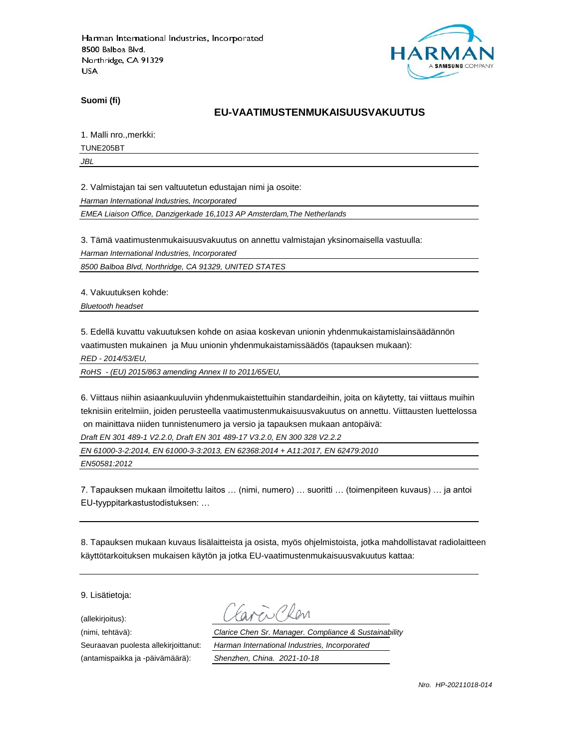

**Suomi (fi)**

### **EU-VAATIMUSTENMUKAISUUSVAKUUTUS**

1. Malli nro.,merkki:

TUNE205BT

*JBL*

2. Valmistajan tai sen valtuutetun edustajan nimi ja osoite:

*Harman International Industries, Incorporated*

*EMEA Liaison Office, Danzigerkade 16,1013 AP Amsterdam,The Netherlands*

3. Tämä vaatimustenmukaisuusvakuutus on annettu valmistajan yksinomaisella vastuulla:

*Harman International Industries, Incorporated*

*8500 Balboa Blvd, Northridge, CA 91329, UNITED STATES*

4. Vakuutuksen kohde:

*Bluetooth headset*

5. Edellä kuvattu vakuutuksen kohde on asiaa koskevan unionin yhdenmukaistamislainsäädännön vaatimusten mukainen ja Muu unionin yhdenmukaistamissäädös (tapauksen mukaan):

*RED - 2014/53/EU,*

*RoHS - (EU) 2015/863 amending Annex II to 2011/65/EU,*

6. Viittaus niihin asiaankuuluviin yhdenmukaistettuihin standardeihin, joita on käytetty, tai viittaus muihin teknisiin eritelmiin, joiden perusteella vaatimustenmukaisuusvakuutus on annettu. Viittausten luettelossa on mainittava niiden tunnistenumero ja versio ja tapauksen mukaan antopäivä:

*Draft EN 301 489-1 V2.2.0, Draft EN 301 489-17 V3.2.0, EN 300 328 V2.2.2*

*EN 61000-3-2:2014, EN 61000-3-3:2013, EN 62368:2014 + A11:2017, EN 62479:2010*

*EN50581:2012*

7. Tapauksen mukaan ilmoitettu laitos … (nimi, numero) … suoritti … (toimenpiteen kuvaus) … ja antoi EU-tyyppitarkastustodistuksen: …

8. Tapauksen mukaan kuvaus lisälaitteista ja osista, myös ohjelmistoista, jotka mahdollistavat radiolaitteen käyttötarkoituksen mukaisen käytön ja jotka EU-vaatimustenmukaisuusvakuutus kattaa:

9. Lisätietoja:

(allekirjoitus):

(antamispaikka ja -päivämäärä): *Shenzhen, China. 2021-10-18*

(nimi, tehtävä): *Clarice Chen Sr. Manager. Compliance & Sustainability* Seuraavan puolesta allekirjoittanut: *Harman International Industries, Incorporated*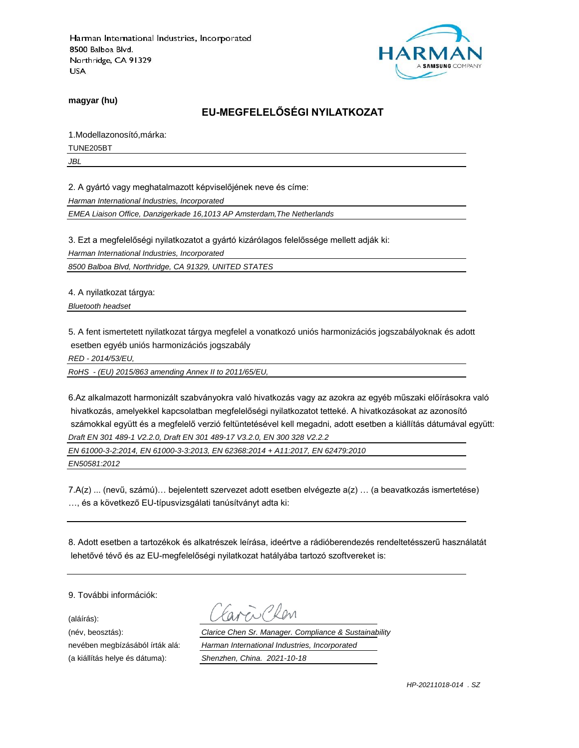

**magyar (hu)**

# **EU-MEGFELELŐSÉGI NYILATKOZAT**

1.Modellazonosító,márka:

TUNE205BT

*JBL*

2. A gyártó vagy meghatalmazott képviselőjének neve és címe:

*Harman International Industries, Incorporated*

*EMEA Liaison Office, Danzigerkade 16,1013 AP Amsterdam,The Netherlands*

3. Ezt a megfelelőségi nyilatkozatot a gyártó kizárólagos felelőssége mellett adják ki:

*Harman International Industries, Incorporated*

*8500 Balboa Blvd, Northridge, CA 91329, UNITED STATES*

4. A nyilatkozat tárgya:

*Bluetooth headset*

5. A fent ismertetett nyilatkozat tárgya megfelel a vonatkozó uniós harmonizációs jogszabályoknak és adott esetben egyéb uniós harmonizációs jogszabály

*RED - 2014/53/EU,*

*RoHS - (EU) 2015/863 amending Annex II to 2011/65/EU,*

6.Az alkalmazott harmonizált szabványokra való hivatkozás vagy az azokra az egyéb műszaki előírásokra való hivatkozás, amelyekkel kapcsolatban megfelelőségi nyilatkozatot tetteké. A hivatkozásokat az azonosító számokkal együtt és a megfelelő verzió feltüntetésével kell megadni, adott esetben a kiállítás dátumával együtt: *Draft EN 301 489-1 V2.2.0, Draft EN 301 489-17 V3.2.0, EN 300 328 V2.2.2*

*EN 61000-3-2:2014, EN 61000-3-3:2013, EN 62368:2014 + A11:2017, EN 62479:2010*

*EN50581:2012*

7.A(z) ... (nevű, számú)… bejelentett szervezet adott esetben elvégezte a(z) … (a beavatkozás ismertetése) …, és a következő EU-típusvizsgálati tanúsítványt adta ki:

8. Adott esetben a tartozékok és alkatrészek leírása, ideértve a rádióberendezés rendeltetésszerű használatát lehetővé tévő és az EU-megfelelőségi nyilatkozat hatályába tartozó szoftvereket is:

9. További információk:

(aláírás):

(név, beosztás): *Clarice Chen Sr. Manager. Compliance & Sustainability* nevében megbízásából írták alá: *Harman International Industries, Incorporated* (a kiállítás helye és dátuma): *Shenzhen, China. 2021-10-18*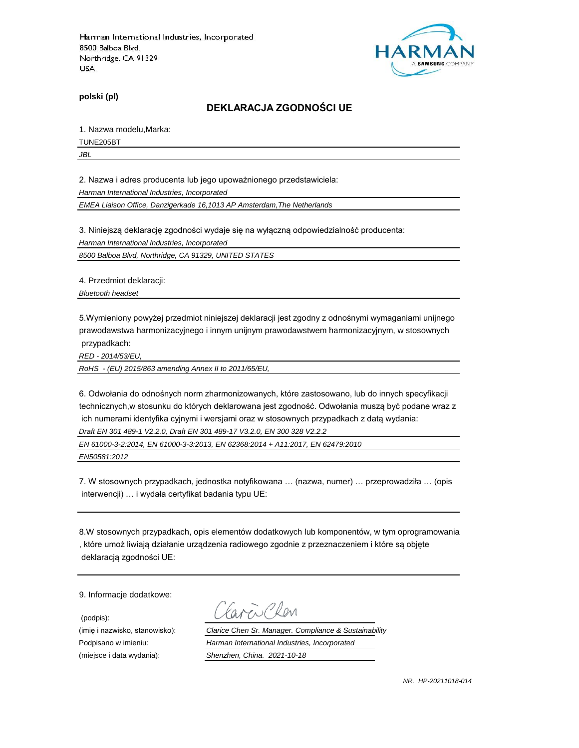

**polski (pl)**

#### **DEKLARACJA ZGODNOŚCI UE**

1. Nazwa modelu,Marka:

TUNE205BT

*JBL*

2. Nazwa i adres producenta lub jego upoważnionego przedstawiciela:

*Harman International Industries, Incorporated*

*EMEA Liaison Office, Danzigerkade 16,1013 AP Amsterdam,The Netherlands*

3. Niniejszą deklarację zgodności wydaje się na wyłączną odpowiedzialność producenta:

*Harman International Industries, Incorporated*

*8500 Balboa Blvd, Northridge, CA 91329, UNITED STATES*

4. Przedmiot deklaracji:

*Bluetooth headset*

5.Wymieniony powyżej przedmiot niniejszej deklaracji jest zgodny z odnośnymi wymaganiami unijnego prawodawstwa harmonizacyjnego i innym unijnym prawodawstwem harmonizacyjnym, w stosownych przypadkach:

*RED - 2014/53/EU,*

*RoHS - (EU) 2015/863 amending Annex II to 2011/65/EU,*

6. Odwołania do odnośnych norm zharmonizowanych, które zastosowano, lub do innych specyfikacji technicznych,w stosunku do których deklarowana jest zgodność. Odwołania muszą być podane wraz z ich numerami identyfika cyjnymi i wersjami oraz w stosownych przypadkach z datą wydania:

*Draft EN 301 489-1 V2.2.0, Draft EN 301 489-17 V3.2.0, EN 300 328 V2.2.2*

*EN 61000-3-2:2014, EN 61000-3-3:2013, EN 62368:2014 + A11:2017, EN 62479:2010*

*EN50581:2012*

7. W stosownych przypadkach, jednostka notyfikowana … (nazwa, numer) … przeprowadziła … (opis interwencji) … i wydała certyfikat badania typu UE:

8.W stosownych przypadkach, opis elementów dodatkowych lub komponentów, w tym oprogramowania , które umoż liwiają działanie urządzenia radiowego zgodnie z przeznaczeniem i które są objęte deklaracją zgodności UE:

9. Informacje dodatkowe:

(podpis):

 $\sum_{\ell}$ 

(imię i nazwisko, stanowisko): *Clarice Chen Sr. Manager. Compliance & Sustainability* Podpisano w imieniu: *Harman International Industries, Incorporated* (miejsce i data wydania): *Shenzhen, China. 2021-10-18*

*NR. HP-20211018-014*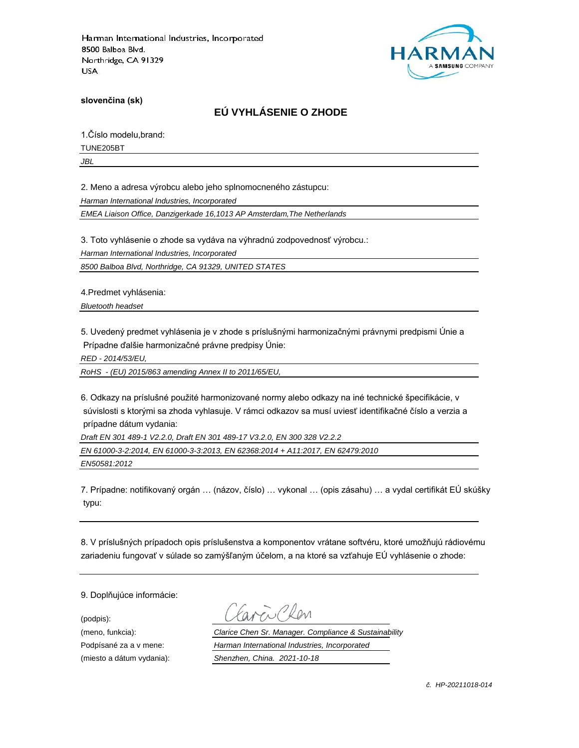

**slovenčina (sk)**

# **EÚ VYHLÁSENIE O ZHODE**

1.Číslo modelu,brand:

TUNE205BT

*JBL*

2. Meno a adresa výrobcu alebo jeho splnomocneného zástupcu:

*Harman International Industries, Incorporated*

*EMEA Liaison Office, Danzigerkade 16,1013 AP Amsterdam,The Netherlands*

3. Toto vyhlásenie o zhode sa vydáva na výhradnú zodpovednosť výrobcu.:

*Harman International Industries, Incorporated*

*8500 Balboa Blvd, Northridge, CA 91329, UNITED STATES*

4.Predmet vyhlásenia:

*Bluetooth headset*

5. Uvedený predmet vyhlásenia je v zhode s príslušnými harmonizačnými právnymi predpismi Únie a Prípadne ďalšie harmonizačné právne predpisy Únie:

*RED - 2014/53/EU,*

*RoHS - (EU) 2015/863 amending Annex II to 2011/65/EU,*

6. Odkazy na príslušné použité harmonizované normy alebo odkazy na iné technické špecifikácie, v súvislosti s ktorými sa zhoda vyhlasuje. V rámci odkazov sa musí uviesť identifikačné číslo a verzia a prípadne dátum vydania:

*Draft EN 301 489-1 V2.2.0, Draft EN 301 489-17 V3.2.0, EN 300 328 V2.2.2*

*EN 61000-3-2:2014, EN 61000-3-3:2013, EN 62368:2014 + A11:2017, EN 62479:2010*

*EN50581:2012*

7. Prípadne: notifikovaný orgán … (názov, číslo) … vykonal … (opis zásahu) … a vydal certifikát EÚ skúšky typu:

8. V príslušných prípadoch opis príslušenstva a komponentov vrátane softvéru, ktoré umožňujú rádiovému zariadeniu fungovať v súlade so zamýšľaným účelom, a na ktoré sa vzťahuje EÚ vyhlásenie o zhode:

9. Doplňujúce informácie:

(podpis):

(meno, funkcia): *Clarice Chen Sr. Manager. Compliance & Sustainability* Podpísané za a v mene: *Harman International Industries, Incorporated* (miesto a dátum vydania): *Shenzhen, China. 2021-10-18*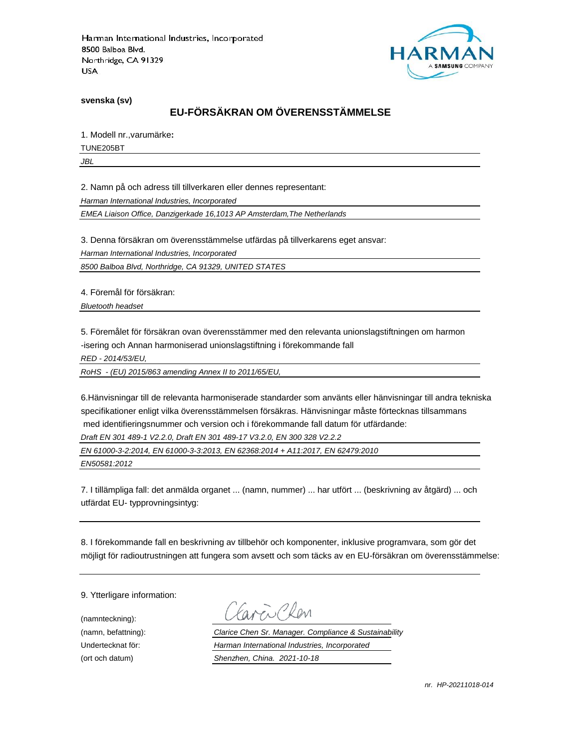

**svenska (sv)**

# **EU-FÖRSÄKRAN OM ÖVERENSSTÄMMELSE**

1. Modell nr.,varumärke**:**

TUNE205BT

*JBL*

2. Namn på och adress till tillverkaren eller dennes representant:

*Harman International Industries, Incorporated*

*EMEA Liaison Office, Danzigerkade 16,1013 AP Amsterdam,The Netherlands*

3. Denna försäkran om överensstämmelse utfärdas på tillverkarens eget ansvar:

*Harman International Industries, Incorporated*

*8500 Balboa Blvd, Northridge, CA 91329, UNITED STATES*

4. Föremål för försäkran:

*Bluetooth headset*

5. Föremålet för försäkran ovan överensstämmer med den relevanta unionslagstiftningen om harmon -isering och Annan harmoniserad unionslagstiftning i förekommande fall

*RED - 2014/53/EU,*

*RoHS - (EU) 2015/863 amending Annex II to 2011/65/EU,*

6.Hänvisningar till de relevanta harmoniserade standarder som använts eller hänvisningar till andra tekniska specifikationer enligt vilka överensstämmelsen försäkras. Hänvisningar måste förtecknas tillsammans med identifieringsnummer och version och i förekommande fall datum för utfärdande:

*Draft EN 301 489-1 V2.2.0, Draft EN 301 489-17 V3.2.0, EN 300 328 V2.2.2*

*EN 61000-3-2:2014, EN 61000-3-3:2013, EN 62368:2014 + A11:2017, EN 62479:2010*

*EN50581:2012*

7. I tillämpliga fall: det anmälda organet ... (namn, nummer) ... har utfört ... (beskrivning av åtgärd) ... och utfärdat EU- typprovningsintyg:

8. I förekommande fall en beskrivning av tillbehör och komponenter, inklusive programvara, som gör det möjligt för radioutrustningen att fungera som avsett och som täcks av en EU-försäkran om överensstämmelse:

9. Ytterligare information:

(namnteckning):

EN Plen

(namn, befattning): *Clarice Chen Sr. Manager. Compliance & Sustainability* Undertecknat för: *Harman International Industries, Incorporated* (ort och datum) *Shenzhen, China. 2021-10-18*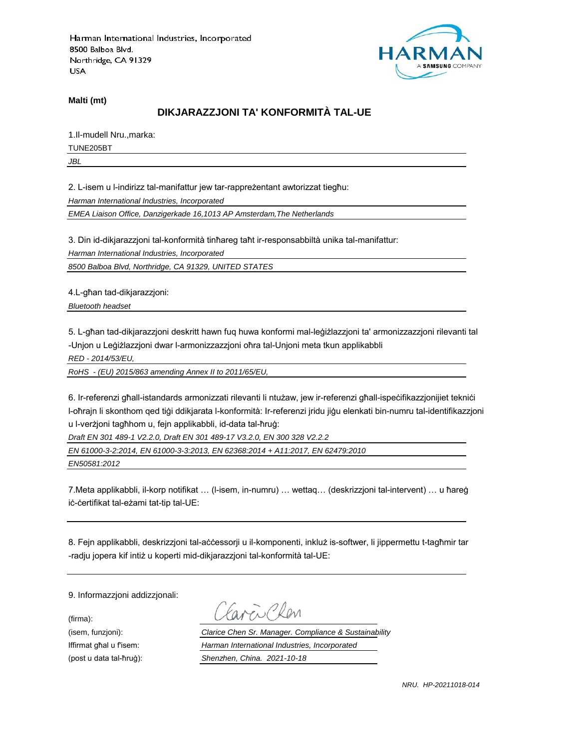

**Malti (mt)**

# **DIKJARAZZJONI TA' KONFORMITÀ TAL-UE**

1.Il-mudell Nru.,marka:

TUNE205BT

*JBL*

2. L-isem u l-indirizz tal-manifattur jew tar-rappreżentant awtorizzat tiegħu:

*Harman International Industries, Incorporated*

*EMEA Liaison Office, Danzigerkade 16,1013 AP Amsterdam,The Netherlands*

3. Din id-dikjarazzjoni tal-konformità tinħareg taħt ir-responsabbiltà unika tal-manifattur:

*Harman International Industries, Incorporated*

*8500 Balboa Blvd, Northridge, CA 91329, UNITED STATES*

4.L-għan tad-dikjarazzjoni:

*Bluetooth headset*

5. L-għan tad-dikjarazzjoni deskritt hawn fuq huwa konformi mal-leġiżlazzjoni ta' armonizzazzjoni rilevanti tal -Unjon u Leġiżlazzjoni dwar l-armonizzazzjoni oħra tal-Unjoni meta tkun applikabbli

*RED - 2014/53/EU,*

*RoHS - (EU) 2015/863 amending Annex II to 2011/65/EU,*

6. Ir-referenzi għall-istandards armonizzati rilevanti li ntużaw, jew ir-referenzi għall-ispeċifikazzjonijiet tekniċi l-oħrajn li skonthom qed tiġi ddikjarata l-konformità: Ir-referenzi jridu jiġu elenkati bin-numru tal-identifikazzjoni u l-verżjoni tagħhom u, fejn applikabbli, id-data tal-ħruġ:

*Draft EN 301 489-1 V2.2.0, Draft EN 301 489-17 V3.2.0, EN 300 328 V2.2.2*

*EN 61000-3-2:2014, EN 61000-3-3:2013, EN 62368:2014 + A11:2017, EN 62479:2010*

*EN50581:2012*

7.Meta applikabbli, il-korp notifikat … (l-isem, in-numru) … wettaq… (deskrizzjoni tal-intervent) … u ħareġ iċ-ċertifikat tal-eżami tat-tip tal-UE:

8. Fejn applikabbli, deskrizzjoni tal-aċċessorji u il-komponenti, inkluż is-softwer, li jippermettu t-tagħmir tar -radju jopera kif intiż u koperti mid-dikjarazzjoni tal-konformità tal-UE:

9. Informazzjoni addizzjonali:

(firma):

EN CRON

(isem, funzjoni): *Clarice Chen Sr. Manager. Compliance & Sustainability* Iffirmat għal u f'isem: *Harman International Industries, Incorporated* (post u data tal-ħruġ): *Shenzhen, China. 2021-10-18*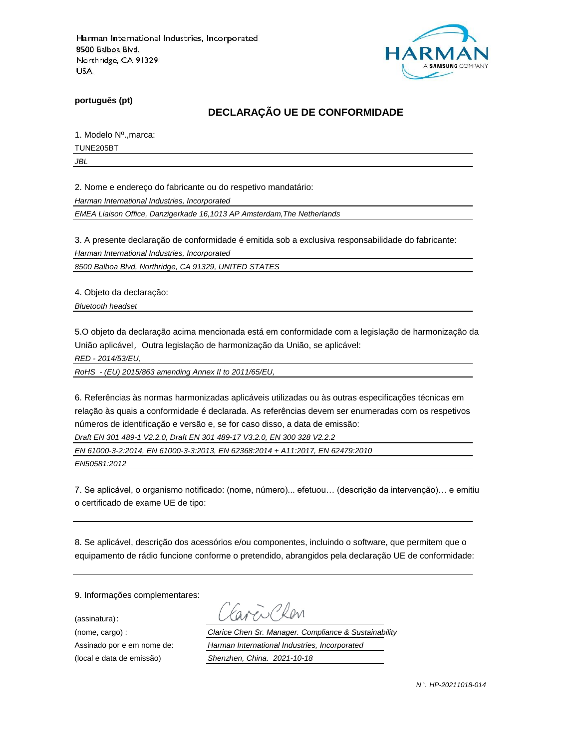

**português (pt)**

# **DECLARAÇÃO UE DE CONFORMIDADE**

1. Modelo Nº.,marca:

TUNE205BT

*JBL*

2. Nome e endereço do fabricante ou do respetivo mandatário:

*Harman International Industries, Incorporated*

*EMEA Liaison Office, Danzigerkade 16,1013 AP Amsterdam,The Netherlands*

3. A presente declaração de conformidade é emitida sob a exclusiva responsabilidade do fabricante:

*Harman International Industries, Incorporated*

*8500 Balboa Blvd, Northridge, CA 91329, UNITED STATES*

4. Objeto da declaração:

*Bluetooth headset*

5.O objeto da declaração acima mencionada está em conformidade com a legislação de harmonização da União aplicável, Outra legislação de harmonização da União, se aplicável:

*RED - 2014/53/EU,*

*RoHS - (EU) 2015/863 amending Annex II to 2011/65/EU,*

6. Referências às normas harmonizadas aplicáveis utilizadas ou às outras especificações técnicas em relação às quais a conformidade é declarada. As referências devem ser enumeradas com os respetivos números de identificação e versão e, se for caso disso, a data de emissão:

*Draft EN 301 489-1 V2.2.0, Draft EN 301 489-17 V3.2.0, EN 300 328 V2.2.2*

*EN 61000-3-2:2014, EN 61000-3-3:2013, EN 62368:2014 + A11:2017, EN 62479:2010*

*EN50581:2012*

7. Se aplicável, o organismo notificado: (nome, número)... efetuou… (descrição da intervenção)… e emitiu o certificado de exame UE de tipo:

8. Se aplicável, descrição dos acessórios e/ou componentes, incluindo o software, que permitem que o equipamento de rádio funcione conforme o pretendido, abrangidos pela declaração UE de conformidade:

9. Informações complementares:

(assinatura):

Chen

(nome, cargo) : *Clarice Chen Sr. Manager. Compliance & Sustainability* Assinado por e em nome de: *Harman International Industries, Incorporated* (local e data de emissão) *Shenzhen, China. 2021-10-18*